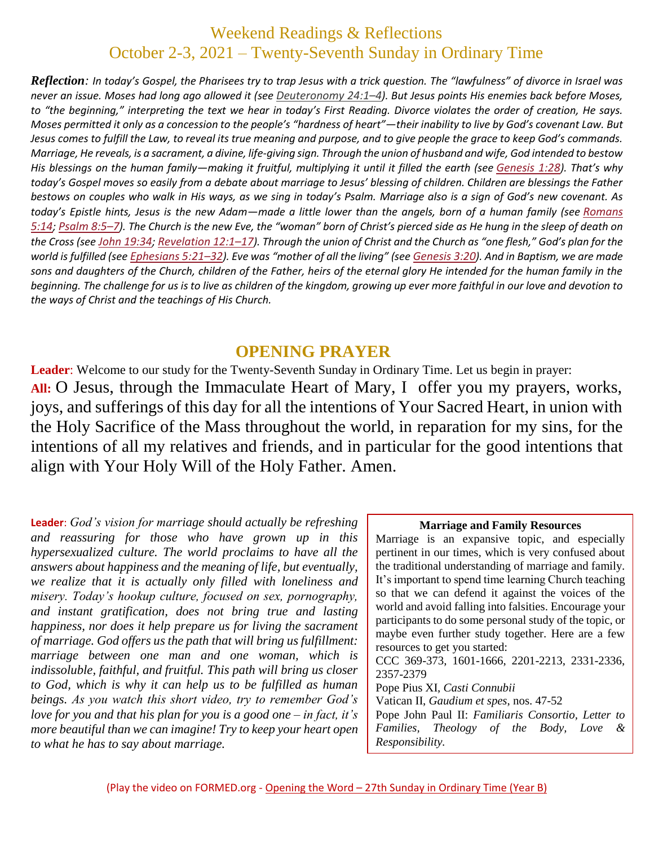## Weekend Readings & Reflections October 2-3, 2021 – Twenty-Seventh Sunday in Ordinary Time

*Reflection: In today's Gospel, the Pharisees try to trap Jesus with a trick question. The "lawfulness" of divorce in Israel was never an issue. Moses had long ago allowed it (see [Deuteronomy](https://biblia.com/bible/rsvce/Deut%2024.1%E2%80%934) 24:1–4). But Jesus points His enemies back before Moses, to "the beginning," interpreting the text we hear in today's First Reading. Divorce violates the order of creation, He says. Moses permitted it only as a concession to the people's "hardness of heart"—their inability to live by God's covenant Law. But Jesus comes to fulfill the Law, to reveal its true meaning and purpose, and to give people the grace to keep God's commands. Marriage, He reveals, is a sacrament, a divine, life-giving sign. Through the union of husband and wife, God intended to bestow His blessings on the human family—making it fruitful, multiplying it until it filled the earth (see [Genesis](https://biblia.com/bible/rsvce/Gen%201.28) 1:28). That's why today's Gospel moves so easily from a debate about marriage to Jesus' blessing of children. Children are blessings the Father bestows on couples who walk in His ways, as we sing in today's Psalm. Marriage also is a sign of God's new covenant. As today's Epistle hints, Jesus is the new Adam—made a little lower than the angels, born of a human family (see [Romans](https://biblia.com/bible/rsvce/Rom%205.14) [5:14](https://biblia.com/bible/rsvce/Rom%205.14); [Psalm](https://biblia.com/bible/rsvce/Ps%208.5%E2%80%937) 8:5–7). The Church is the new Eve, the "woman" born of Christ's pierced side as He hung in the sleep of death on the Cross (see John [19:34](https://biblia.com/bible/rsvce/John%2019.34); [Revelation](https://biblia.com/bible/rsvce/Rev%2012.1%E2%80%9317) 12:1–17). Through the union of Christ and the Church as "one flesh," God's plan for the world is fulfilled (see [Ephesians](https://biblia.com/bible/rsvce/Eph%205.21%E2%80%9332) 5:21–32). Eve was "mother of all the living" (see [Genesis](https://biblia.com/bible/rsvce/Gen%203.20) 3:20). And in Baptism, we are made sons and daughters of the Church, children of the Father, heirs of the eternal glory He intended for the human family in the beginning. The challenge for us is to live as children of the kingdom, growing up ever more faithful in our love and devotion to the ways of Christ and the teachings of His Church.*

### **OPENING PRAYER**

**Leader**: Welcome to our study for the Twenty-Seventh Sunday in Ordinary Time. Let us begin in prayer: **All:** O Jesus, through the Immaculate Heart of Mary, I offer you my prayers, works, joys, and sufferings of this day for all the intentions of Your Sacred Heart, in union with the Holy Sacrifice of the Mass throughout the world, in reparation for my sins, for the intentions of all my relatives and friends, and in particular for the good intentions that align with Your Holy Will of the Holy Father. Amen.

**Leader**: *God's vision for marriage should actually be refreshing and reassuring for those who have grown up in this hypersexualized culture. The world proclaims to have all the answers about happiness and the meaning of life, but eventually, we realize that it is actually only filled with loneliness and misery. Today's hookup culture, focused on sex, pornography, and instant gratification, does not bring true and lasting happiness, nor does it help prepare us for living the sacrament of marriage. God offers us the path that will bring us fulfillment: marriage between one man and one woman, which is indissoluble, faithful, and fruitful. This path will bring us closer to God, which is why it can help us to be fulfilled as human beings. As you watch this short video, try to remember God's love for you and that his plan for you is a good one – in fact, it's more beautiful than we can imagine! Try to keep your heart open to what he has to say about marriage.*

#### **Marriage and Family Resources**

Marriage is an expansive topic, and especially pertinent in our times, which is very confused about the traditional understanding of marriage and family. It's important to spend time learning Church teaching so that we can defend it against the voices of the world and avoid falling into falsities. Encourage your participants to do some personal study of the topic, or maybe even further study together. Here are a few resources to get you started: CCC 369-373, 1601-1666, 2201-2213, 2331-2336, 2357-2379 Pope Pius XI, *Casti Connubii* Vatican II, *Gaudium et spes*, nos. 47-52 Pope John Paul II: *Familiaris Consortio, Letter to Families, Theology of the Body, Love & Responsibility.*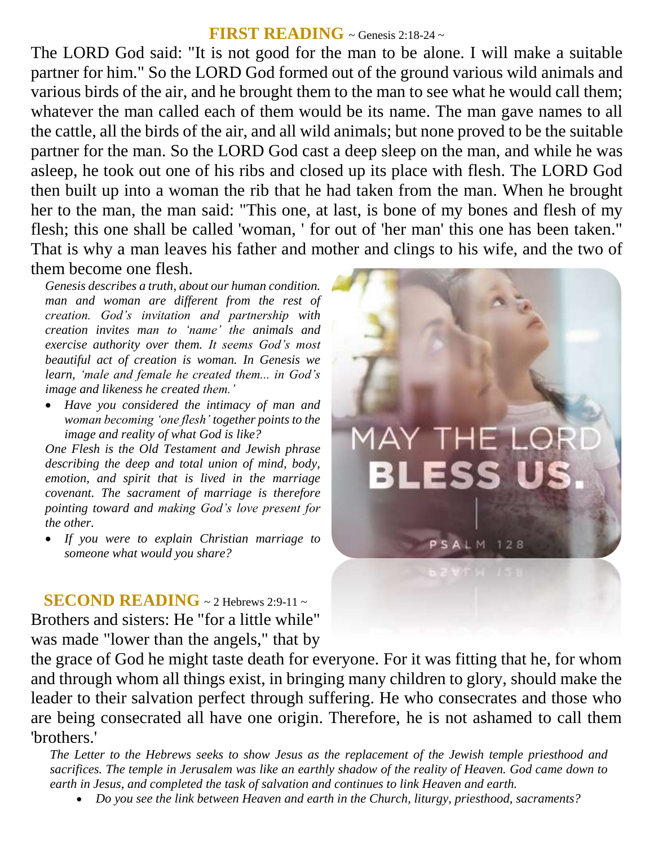### **FIRST READING** ~ Genesis 2:18-24 ~

The LORD God said: "It is not good for the man to be alone. I will make a suitable partner for him." So the LORD God formed out of the ground various wild animals and various birds of the air, and he brought them to the man to see what he would call them; whatever the man called each of them would be its name. The man gave names to all the cattle, all the birds of the air, and all wild animals; but none proved to be the suitable partner for the man. So the LORD God cast a deep sleep on the man, and while he was asleep, he took out one of his ribs and closed up its place with flesh. The LORD God then built up into a woman the rib that he had taken from the man. When he brought her to the man, the man said: "This one, at last, is bone of my bones and flesh of my flesh; this one shall be called 'woman, ' for out of 'her man' this one has been taken." That is why a man leaves his father and mother and clings to his wife, and the two of them become one flesh.

*Genesis describes a truth, about our human condition. man and woman are different from the rest of creation. God's invitation and partnership with creation invites man to 'name' the animals and exercise authority over them. It seems God's most beautiful act of creation is woman. In Genesis we learn, 'male and female he created them... in God's image and likeness he created them.'* 

 *Have you considered the intimacy of man and woman becoming 'one flesh' together points to the image and reality of what God is like?* 

*One Flesh is the Old Testament and Jewish phrase describing the deep and total union of mind, body, emotion, and spirit that is lived in the marriage covenant. The sacrament of marriage is therefore pointing toward and making God's love present for the other.* 

 *If you were to explain Christian marriage to someone what would you share?*

**SECOND READING**  $\sim$  2 Hebrews 2:9-11  $\sim$ Brothers and sisters: He "for a little while" was made "lower than the angels," that by



the grace of God he might taste death for everyone. For it was fitting that he, for whom and through whom all things exist, in bringing many children to glory, should make the leader to their salvation perfect through suffering. He who consecrates and those who are being consecrated all have one origin. Therefore, he is not ashamed to call them 'brothers.'

*The Letter to the Hebrews seeks to show Jesus as the replacement of the Jewish temple priesthood and sacrifices. The temple in Jerusalem was like an earthly shadow of the reality of Heaven. God came down to earth in Jesus, and completed the task of salvation and continues to link Heaven and earth.* 

*Do you see the link between Heaven and earth in the Church, liturgy, priesthood, sacraments?*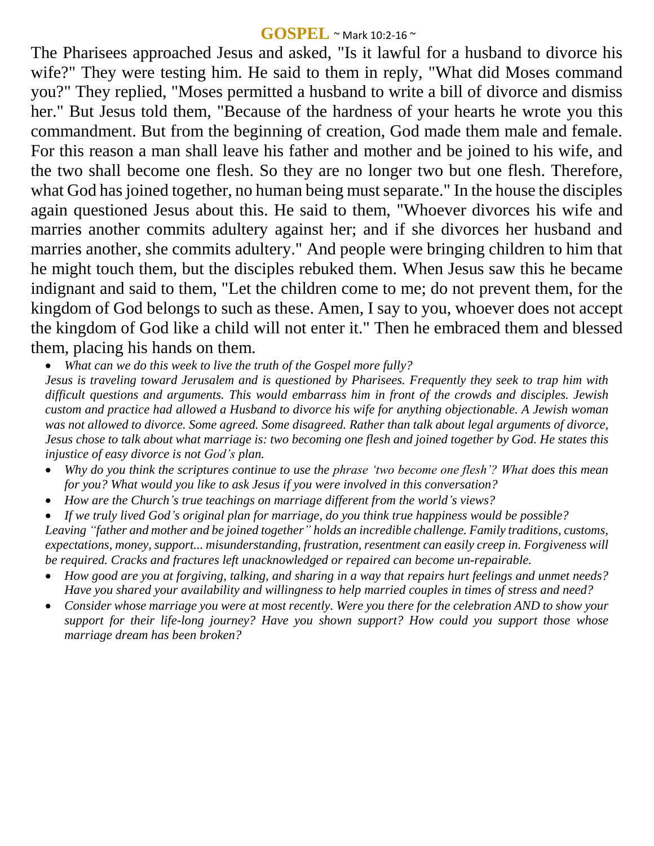#### **GOSPEL** ~ Mark 10:2-16 <sup>~</sup>

The Pharisees approached Jesus and asked, "Is it lawful for a husband to divorce his wife?" They were testing him. He said to them in reply, "What did Moses command you?" They replied, "Moses permitted a husband to write a bill of divorce and dismiss her." But Jesus told them, "Because of the hardness of your hearts he wrote you this commandment. But from the beginning of creation, God made them male and female. For this reason a man shall leave his father and mother and be joined to his wife, and the two shall become one flesh. So they are no longer two but one flesh. Therefore, what God has joined together, no human being must separate." In the house the disciples again questioned Jesus about this. He said to them, "Whoever divorces his wife and marries another commits adultery against her; and if she divorces her husband and marries another, she commits adultery." And people were bringing children to him that he might touch them, but the disciples rebuked them. When Jesus saw this he became indignant and said to them, "Let the children come to me; do not prevent them, for the kingdom of God belongs to such as these. Amen, I say to you, whoever does not accept the kingdom of God like a child will not enter it." Then he embraced them and blessed them, placing his hands on them.

*What can we do this week to live the truth of the Gospel more fully?*

*Jesus is traveling toward Jerusalem and is questioned by Pharisees. Frequently they seek to trap him with difficult questions and arguments. This would embarrass him in front of the crowds and disciples. Jewish custom and practice had allowed a Husband to divorce his wife for anything objectionable. A Jewish woman was not allowed to divorce. Some agreed. Some disagreed. Rather than talk about legal arguments of divorce, Jesus chose to talk about what marriage is: two becoming one flesh and joined together by God. He states this injustice of easy divorce is not God's plan.* 

- *Why do you think the scriptures continue to use the phrase ʻtwo become one flesh'? What does this mean for you? What would you like to ask Jesus if you were involved in this conversation?*
- *How are the Church's true teachings on marriage different from the world's views?*

 *If we truly lived God's original plan for marriage, do you think true happiness would be possible? Leaving "father and mother and be joined together" holds an incredible challenge. Family traditions, customs, expectations, money, support... misunderstanding, frustration, resentment can easily creep in. Forgiveness will be required. Cracks and fractures left unacknowledged or repaired can become un-repairable.* 

- *How good are you at forgiving, talking, and sharing in a way that repairs hurt feelings and unmet needs? Have you shared your availability and willingness to help married couples in times of stress and need?*
- *Consider whose marriage you were at most recently. Were you there for the celebration AND to show your support for their life-long journey? Have you shown support? How could you support those whose marriage dream has been broken?*